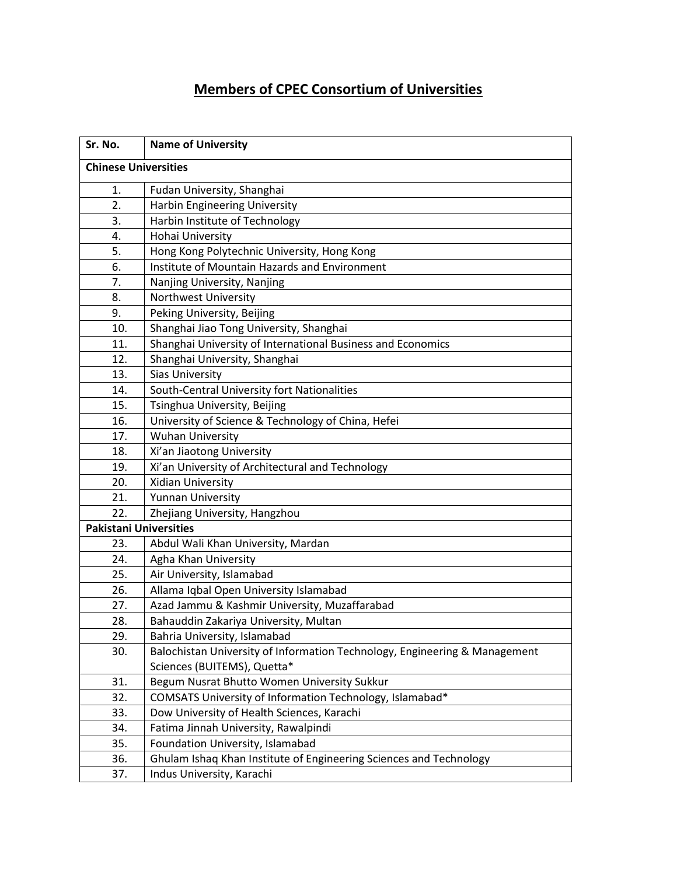## **Members of CPEC Consortium of Universities**

| Sr. No.                       | <b>Name of University</b>                                                  |  |
|-------------------------------|----------------------------------------------------------------------------|--|
| <b>Chinese Universities</b>   |                                                                            |  |
| 1.                            | Fudan University, Shanghai                                                 |  |
| 2.                            | Harbin Engineering University                                              |  |
| 3.                            | Harbin Institute of Technology                                             |  |
| 4.                            | Hohai University                                                           |  |
| 5.                            | Hong Kong Polytechnic University, Hong Kong                                |  |
| 6.                            | Institute of Mountain Hazards and Environment                              |  |
| 7.                            | Nanjing University, Nanjing                                                |  |
| 8.                            | Northwest University                                                       |  |
| 9.                            | Peking University, Beijing                                                 |  |
| 10.                           | Shanghai Jiao Tong University, Shanghai                                    |  |
| 11.                           | Shanghai University of International Business and Economics                |  |
| 12.                           | Shanghai University, Shanghai                                              |  |
| 13.                           | <b>Sias University</b>                                                     |  |
| 14.                           | South-Central University fort Nationalities                                |  |
| 15.                           | Tsinghua University, Beijing                                               |  |
| 16.                           | University of Science & Technology of China, Hefei                         |  |
| 17.                           | <b>Wuhan University</b>                                                    |  |
| 18.                           | Xi'an Jiaotong University                                                  |  |
| 19.                           | Xi'an University of Architectural and Technology                           |  |
| 20.                           | Xidian University                                                          |  |
| 21.                           | <b>Yunnan University</b>                                                   |  |
| 22.                           | Zhejiang University, Hangzhou                                              |  |
| <b>Pakistani Universities</b> |                                                                            |  |
| 23.                           | Abdul Wali Khan University, Mardan                                         |  |
| 24.                           | Agha Khan University                                                       |  |
| 25.                           | Air University, Islamabad                                                  |  |
| 26.                           | Allama Iqbal Open University Islamabad                                     |  |
| 27.                           | Azad Jammu & Kashmir University, Muzaffarabad                              |  |
| 28.                           | Bahauddin Zakariya University, Multan                                      |  |
| 29.                           | Bahria University, Islamabad                                               |  |
| 30.                           | Balochistan University of Information Technology, Engineering & Management |  |
|                               | Sciences (BUITEMS), Quetta*                                                |  |
| 31.                           | Begum Nusrat Bhutto Women University Sukkur                                |  |
| 32.                           | COMSATS University of Information Technology, Islamabad*                   |  |
| 33.                           | Dow University of Health Sciences, Karachi                                 |  |
| 34.                           | Fatima Jinnah University, Rawalpindi                                       |  |
| 35.                           | Foundation University, Islamabad                                           |  |
| 36.                           | Ghulam Ishaq Khan Institute of Engineering Sciences and Technology         |  |
| 37.                           | Indus University, Karachi                                                  |  |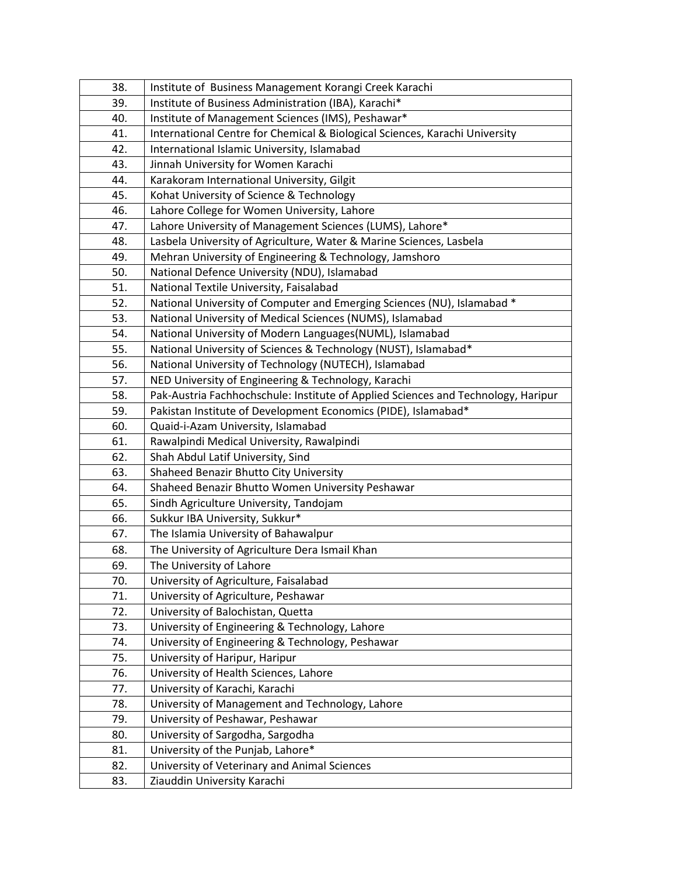| 38. | Institute of Business Management Korangi Creek Karachi                            |
|-----|-----------------------------------------------------------------------------------|
| 39. | Institute of Business Administration (IBA), Karachi*                              |
| 40. | Institute of Management Sciences (IMS), Peshawar*                                 |
| 41. | International Centre for Chemical & Biological Sciences, Karachi University       |
| 42. | International Islamic University, Islamabad                                       |
| 43. | Jinnah University for Women Karachi                                               |
| 44. | Karakoram International University, Gilgit                                        |
| 45. | Kohat University of Science & Technology                                          |
| 46. | Lahore College for Women University, Lahore                                       |
| 47. | Lahore University of Management Sciences (LUMS), Lahore*                          |
| 48. | Lasbela University of Agriculture, Water & Marine Sciences, Lasbela               |
| 49. | Mehran University of Engineering & Technology, Jamshoro                           |
| 50. | National Defence University (NDU), Islamabad                                      |
| 51. | National Textile University, Faisalabad                                           |
| 52. | National University of Computer and Emerging Sciences (NU), Islamabad *           |
| 53. | National University of Medical Sciences (NUMS), Islamabad                         |
| 54. | National University of Modern Languages(NUML), Islamabad                          |
| 55. | National University of Sciences & Technology (NUST), Islamabad*                   |
| 56. | National University of Technology (NUTECH), Islamabad                             |
| 57. | NED University of Engineering & Technology, Karachi                               |
| 58. | Pak-Austria Fachhochschule: Institute of Applied Sciences and Technology, Haripur |
| 59. | Pakistan Institute of Development Economics (PIDE), Islamabad*                    |
| 60. | Quaid-i-Azam University, Islamabad                                                |
| 61. | Rawalpindi Medical University, Rawalpindi                                         |
| 62. | Shah Abdul Latif University, Sind                                                 |
| 63. | Shaheed Benazir Bhutto City University                                            |
| 64. | Shaheed Benazir Bhutto Women University Peshawar                                  |
| 65. | Sindh Agriculture University, Tandojam                                            |
| 66. | Sukkur IBA University, Sukkur*                                                    |
| 67. | The Islamia University of Bahawalpur                                              |
| 68. | The University of Agriculture Dera Ismail Khan                                    |
| 69. | The University of Lahore                                                          |
| 70. | University of Agriculture, Faisalabad                                             |
| 71. | University of Agriculture, Peshawar                                               |
| 72. | University of Balochistan, Quetta                                                 |
| 73. | University of Engineering & Technology, Lahore                                    |
| 74. | University of Engineering & Technology, Peshawar                                  |
| 75. | University of Haripur, Haripur                                                    |
| 76. | University of Health Sciences, Lahore                                             |
| 77. | University of Karachi, Karachi                                                    |
| 78. | University of Management and Technology, Lahore                                   |
| 79. | University of Peshawar, Peshawar                                                  |
| 80. | University of Sargodha, Sargodha                                                  |
| 81. | University of the Punjab, Lahore*                                                 |
| 82. | University of Veterinary and Animal Sciences                                      |
| 83. | Ziauddin University Karachi                                                       |